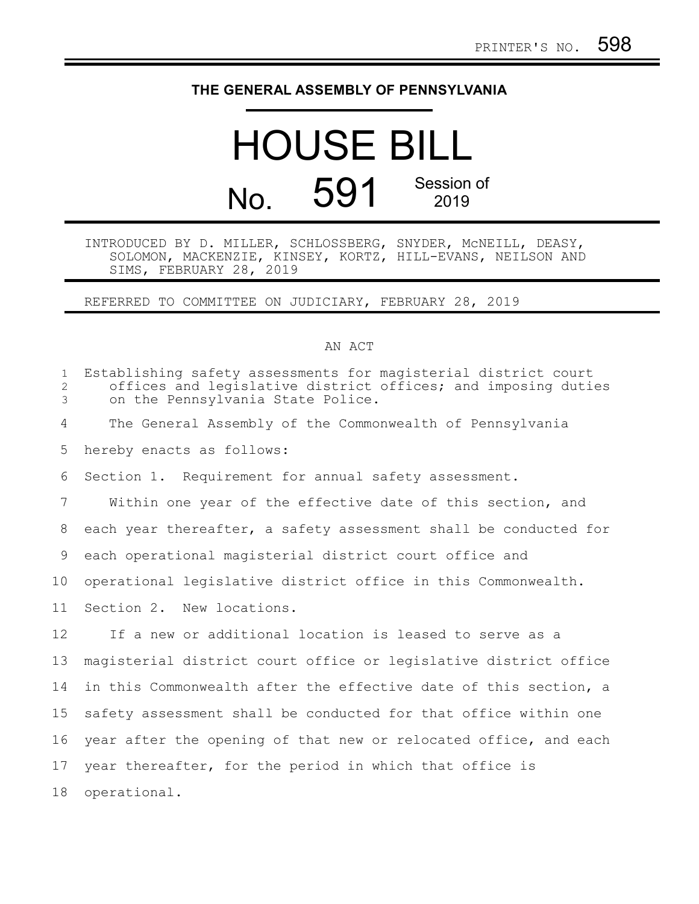## **THE GENERAL ASSEMBLY OF PENNSYLVANIA**

# HOUSE BILL No. 591 Session of 2019

### INTRODUCED BY D. MILLER, SCHLOSSBERG, SNYDER, McNEILL, DEASY, SOLOMON, MACKENZIE, KINSEY, KORTZ, HILL-EVANS, NEILSON AND SIMS, FEBRUARY 28, 2019

### REFERRED TO COMMITTEE ON JUDICIARY, FEBRUARY 28, 2019

#### AN ACT

| $\mathbf{1}$<br>2<br>3 | Establishing safety assessments for magisterial district court<br>offices and legislative district offices; and imposing duties<br>on the Pennsylvania State Police. |
|------------------------|----------------------------------------------------------------------------------------------------------------------------------------------------------------------|
| 4                      | The General Assembly of the Commonwealth of Pennsylvania                                                                                                             |
| 5                      | hereby enacts as follows:                                                                                                                                            |
| 6                      | Section 1. Requirement for annual safety assessment.                                                                                                                 |
| 7                      | Within one year of the effective date of this section, and                                                                                                           |
| 8                      | each year thereafter, a safety assessment shall be conducted for                                                                                                     |
| 9                      | each operational magisterial district court office and                                                                                                               |
| 10                     | operational legislative district office in this Commonwealth.                                                                                                        |
| 11                     | Section 2. New locations.                                                                                                                                            |
| 12                     | If a new or additional location is leased to serve as a                                                                                                              |
| 13                     | magisterial district court office or legislative district office                                                                                                     |
| 14                     | in this Commonwealth after the effective date of this section, a                                                                                                     |
| 15                     | safety assessment shall be conducted for that office within one                                                                                                      |
| 16                     | year after the opening of that new or relocated office, and each                                                                                                     |
| 17                     | year thereafter, for the period in which that office is                                                                                                              |
| 18                     | operational.                                                                                                                                                         |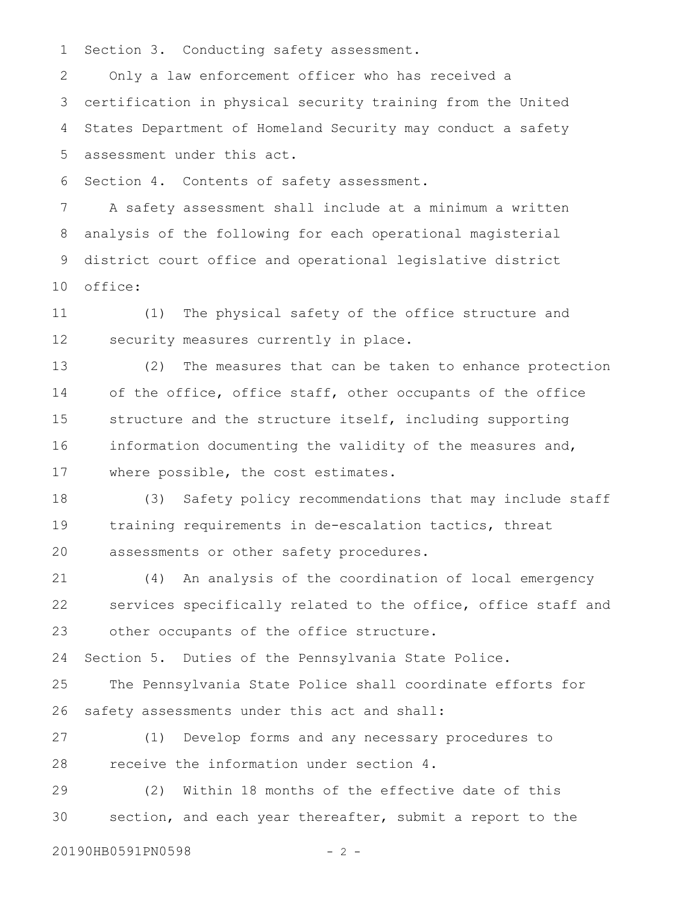Section 3. Conducting safety assessment. 1

Only a law enforcement officer who has received a certification in physical security training from the United States Department of Homeland Security may conduct a safety assessment under this act. 2 3 4 5

Section 4. Contents of safety assessment. 6

A safety assessment shall include at a minimum a written analysis of the following for each operational magisterial district court office and operational legislative district office: 7 8 9 10

(1) The physical safety of the office structure and security measures currently in place. 11 12

(2) The measures that can be taken to enhance protection of the office, office staff, other occupants of the office structure and the structure itself, including supporting information documenting the validity of the measures and, where possible, the cost estimates. 13 14 15 16 17

(3) Safety policy recommendations that may include staff training requirements in de-escalation tactics, threat assessments or other safety procedures. 18 19 20

(4) An analysis of the coordination of local emergency services specifically related to the office, office staff and other occupants of the office structure. 21 22 23

Section 5. Duties of the Pennsylvania State Police. 24

The Pennsylvania State Police shall coordinate efforts for safety assessments under this act and shall: 25 26

(1) Develop forms and any necessary procedures to receive the information under section 4. 27 28

(2) Within 18 months of the effective date of this section, and each year thereafter, submit a report to the 29 30

20190HB0591PN0598 - 2 -